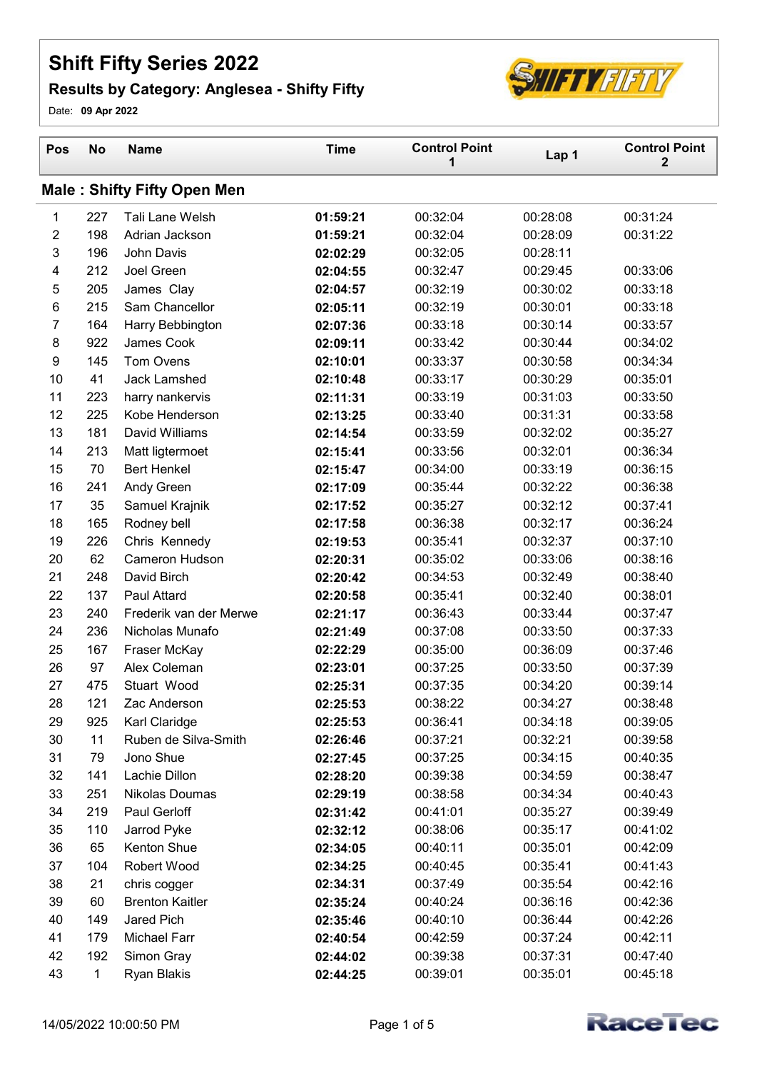## Shift Fifty Series 2022

## Results by Category: Anglesea - Shifty Fifty



Date: 09 Apr 2022

| Pos              | <b>No</b>    | <b>Name</b>                        | <b>Time</b> | <b>Control Point</b><br>1 | Lap 1    | <b>Control Point</b><br>$\mathbf 2$ |
|------------------|--------------|------------------------------------|-------------|---------------------------|----------|-------------------------------------|
|                  |              | <b>Male: Shifty Fifty Open Men</b> |             |                           |          |                                     |
| 1                | 227          | Tali Lane Welsh                    | 01:59:21    | 00:32:04                  | 00:28:08 | 00:31:24                            |
| $\boldsymbol{2}$ | 198          | Adrian Jackson                     | 01:59:21    | 00:32:04                  | 00:28:09 | 00:31:22                            |
| 3                | 196          | John Davis                         | 02:02:29    | 00:32:05                  | 00:28:11 |                                     |
| 4                | 212          | Joel Green                         | 02:04:55    | 00:32:47                  | 00:29:45 | 00:33:06                            |
| $\sqrt{5}$       | 205          | James Clay                         | 02:04:57    | 00:32:19                  | 00:30:02 | 00:33:18                            |
| 6                | 215          | Sam Chancellor                     | 02:05:11    | 00:32:19                  | 00:30:01 | 00:33:18                            |
| $\overline{7}$   | 164          | Harry Bebbington                   | 02:07:36    | 00:33:18                  | 00:30:14 | 00:33:57                            |
| 8                | 922          | James Cook                         | 02:09:11    | 00:33:42                  | 00:30:44 | 00:34:02                            |
| 9                | 145          | Tom Ovens                          | 02:10:01    | 00:33:37                  | 00:30:58 | 00:34:34                            |
| 10               | 41           | Jack Lamshed                       | 02:10:48    | 00:33:17                  | 00:30:29 | 00:35:01                            |
| 11               | 223          | harry nankervis                    | 02:11:31    | 00:33:19                  | 00:31:03 | 00:33:50                            |
| 12               | 225          | Kobe Henderson                     | 02:13:25    | 00:33:40                  | 00:31:31 | 00:33:58                            |
| 13               | 181          | David Williams                     | 02:14:54    | 00:33:59                  | 00:32:02 | 00:35:27                            |
| 14               | 213          | Matt ligtermoet                    | 02:15:41    | 00:33:56                  | 00:32:01 | 00:36:34                            |
| 15               | 70           | <b>Bert Henkel</b>                 | 02:15:47    | 00:34:00                  | 00:33:19 | 00:36:15                            |
| 16               | 241          | Andy Green                         | 02:17:09    | 00:35:44                  | 00:32:22 | 00:36:38                            |
| 17               | 35           | Samuel Krajnik                     | 02:17:52    | 00:35:27                  | 00:32:12 | 00:37:41                            |
| 18               | 165          | Rodney bell                        | 02:17:58    | 00:36:38                  | 00:32:17 | 00:36:24                            |
| 19               | 226          | Chris Kennedy                      | 02:19:53    | 00:35:41                  | 00:32:37 | 00:37:10                            |
| 20               | 62           | <b>Cameron Hudson</b>              | 02:20:31    | 00:35:02                  | 00:33:06 | 00:38:16                            |
| 21               | 248          | David Birch                        | 02:20:42    | 00:34:53                  | 00:32:49 | 00:38:40                            |
| 22               | 137          | Paul Attard                        | 02:20:58    | 00:35:41                  | 00:32:40 | 00:38:01                            |
| 23               | 240          | Frederik van der Merwe             | 02:21:17    | 00:36:43                  | 00:33:44 | 00:37:47                            |
| 24               | 236          | Nicholas Munafo                    | 02:21:49    | 00:37:08                  | 00:33:50 | 00:37:33                            |
| 25               | 167          | Fraser McKay                       | 02:22:29    | 00:35:00                  | 00:36:09 | 00:37:46                            |
| 26               | 97           | Alex Coleman                       | 02:23:01    | 00:37:25                  | 00:33:50 | 00:37:39                            |
| 27               | 475          | Stuart Wood                        | 02:25:31    | 00:37:35                  | 00:34:20 | 00:39:14                            |
| 28               | 121          | Zac Anderson                       | 02:25:53    | 00:38:22                  | 00:34:27 | 00:38:48                            |
| 29               | 925          | Karl Claridge                      | 02:25:53    | 00:36:41                  | 00:34:18 | 00:39:05                            |
| 30               | 11           | Ruben de Silva-Smith               | 02:26:46    | 00:37:21                  | 00:32:21 | 00:39:58                            |
| 31               | 79           | Jono Shue                          | 02:27:45    | 00:37:25                  | 00:34:15 | 00:40:35                            |
| 32               | 141          | Lachie Dillon                      | 02:28:20    | 00:39:38                  | 00:34:59 | 00:38:47                            |
| 33               | 251          | Nikolas Doumas                     | 02:29:19    | 00:38:58                  | 00:34:34 | 00:40:43                            |
| 34               | 219          | Paul Gerloff                       | 02:31:42    | 00:41:01                  | 00:35:27 | 00:39:49                            |
| 35               | 110          | Jarrod Pyke                        | 02:32:12    | 00:38:06                  | 00:35:17 | 00:41:02                            |
| 36               | 65           | Kenton Shue                        | 02:34:05    | 00:40:11                  | 00:35:01 | 00:42:09                            |
| 37               | 104          | Robert Wood                        | 02:34:25    | 00:40:45                  | 00:35:41 | 00:41:43                            |
| 38               | 21           | chris cogger                       | 02:34:31    | 00:37:49                  | 00:35:54 | 00:42:16                            |
| 39               | 60           | <b>Brenton Kaitler</b>             | 02:35:24    | 00:40:24                  | 00:36:16 | 00:42:36                            |
| 40               | 149          | Jared Pich                         | 02:35:46    | 00:40:10                  | 00:36:44 | 00:42:26                            |
| 41               | 179          | Michael Farr                       | 02:40:54    | 00:42:59                  | 00:37:24 | 00:42:11                            |
| 42               | 192          | Simon Gray                         | 02:44:02    | 00:39:38                  | 00:37:31 | 00:47:40                            |
| 43               | $\mathbf{1}$ | Ryan Blakis                        | 02:44:25    | 00:39:01                  | 00:35:01 | 00:45:18                            |

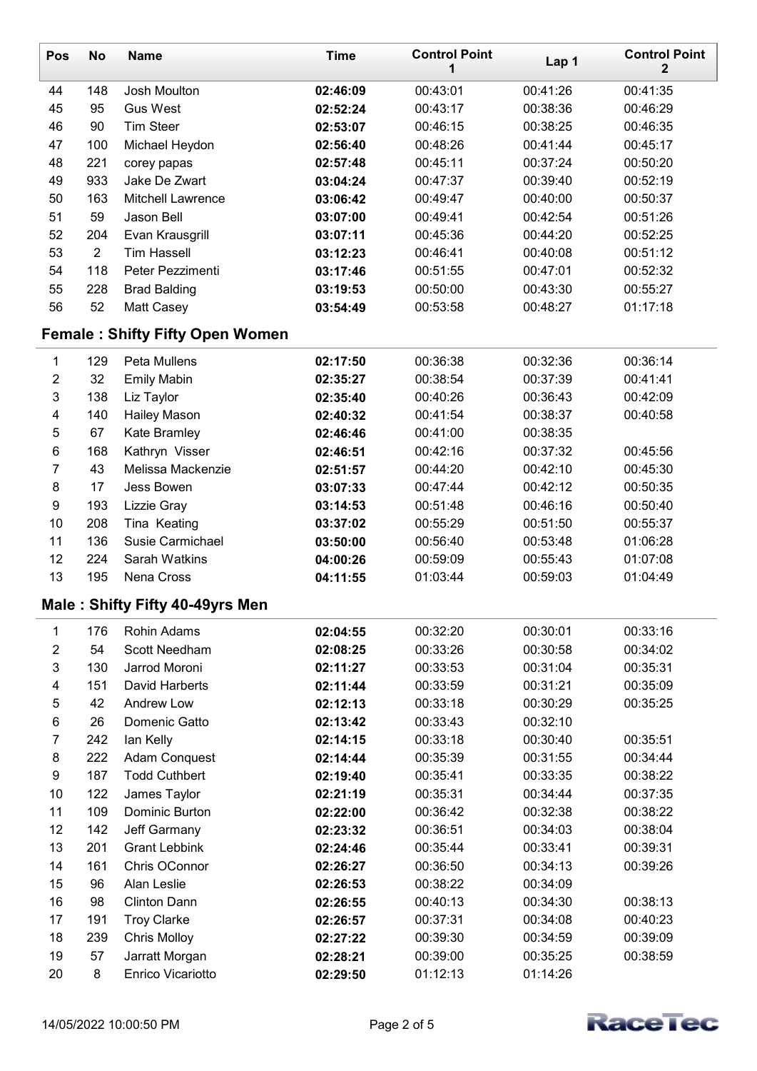| <b>Pos</b>              | <b>No</b>      | <b>Name</b>                            | <b>Time</b> | <b>Control Point</b><br>1 | Lap 1    | <b>Control Point</b><br>$\mathbf 2$ |
|-------------------------|----------------|----------------------------------------|-------------|---------------------------|----------|-------------------------------------|
| 44                      | 148            | Josh Moulton                           | 02:46:09    | 00:43:01                  | 00:41:26 | 00:41:35                            |
| 45                      | 95             | <b>Gus West</b>                        | 02:52:24    | 00:43:17                  | 00:38:36 | 00:46:29                            |
| 46                      | 90             | <b>Tim Steer</b>                       | 02:53:07    | 00:46:15                  | 00:38:25 | 00:46:35                            |
| 47                      | 100            | Michael Heydon                         | 02:56:40    | 00:48:26                  | 00:41:44 | 00:45:17                            |
| 48                      | 221            | corey papas                            | 02:57:48    | 00:45:11                  | 00:37:24 | 00:50:20                            |
| 49                      | 933            | Jake De Zwart                          | 03:04:24    | 00:47:37                  | 00:39:40 | 00:52:19                            |
| 50                      | 163            | <b>Mitchell Lawrence</b>               | 03:06:42    | 00:49:47                  | 00:40:00 | 00:50:37                            |
| 51                      | 59             | Jason Bell                             | 03:07:00    | 00:49:41                  | 00:42:54 | 00:51:26                            |
| 52                      | 204            | Evan Krausgrill                        | 03:07:11    | 00:45:36                  | 00:44:20 | 00:52:25                            |
| 53                      | $\overline{2}$ | <b>Tim Hassell</b>                     | 03:12:23    | 00:46:41                  | 00:40:08 | 00:51:12                            |
| 54                      | 118            | Peter Pezzimenti                       | 03:17:46    | 00:51:55                  | 00:47:01 | 00:52:32                            |
| 55                      | 228            | <b>Brad Balding</b>                    | 03:19:53    | 00:50:00                  | 00:43:30 | 00:55:27                            |
| 56                      | 52             | Matt Casey                             | 03:54:49    | 00:53:58                  | 00:48:27 | 01:17:18                            |
|                         |                | <b>Female: Shifty Fifty Open Women</b> |             |                           |          |                                     |
| $\mathbf{1}$            | 129            | Peta Mullens                           | 02:17:50    | 00:36:38                  | 00:32:36 | 00:36:14                            |
| $\boldsymbol{2}$        | 32             | <b>Emily Mabin</b>                     | 02:35:27    | 00:38:54                  | 00:37:39 | 00:41:41                            |
| 3                       | 138            | Liz Taylor                             | 02:35:40    | 00:40:26                  | 00:36:43 | 00:42:09                            |
| $\overline{\mathbf{4}}$ | 140            | <b>Hailey Mason</b>                    | 02:40:32    | 00:41:54                  | 00:38:37 | 00:40:58                            |
| 5                       | 67             | Kate Bramley                           | 02:46:46    | 00:41:00                  | 00:38:35 |                                     |
| $\,6$                   | 168            | Kathryn Visser                         | 02:46:51    | 00:42:16                  | 00:37:32 | 00:45:56                            |
| $\overline{7}$          | 43             | Melissa Mackenzie                      | 02:51:57    | 00:44:20                  | 00:42:10 | 00:45:30                            |
| $\bf 8$                 | 17             | Jess Bowen                             | 03:07:33    | 00:47:44                  | 00:42:12 | 00:50:35                            |
| $\boldsymbol{9}$        | 193            | Lizzie Gray                            | 03:14:53    | 00:51:48                  | 00:46:16 | 00:50:40                            |
| 10                      | 208            | Tina Keating                           | 03:37:02    | 00:55:29                  | 00:51:50 | 00:55:37                            |
| 11                      | 136            | Susie Carmichael                       | 03:50:00    | 00:56:40                  | 00:53:48 | 01:06:28                            |
| 12                      | 224            | Sarah Watkins                          | 04:00:26    | 00:59:09                  | 00:55:43 | 01:07:08                            |
| 13                      | 195            | Nena Cross                             | 04:11:55    | 01:03:44                  | 00:59:03 | 01:04:49                            |
|                         |                | Male: Shifty Fifty 40-49yrs Men        |             |                           |          |                                     |
| 1                       | 176            | Rohin Adams                            | 02:04:55    | 00:32:20                  | 00:30:01 | 00:33:16                            |
| $\boldsymbol{2}$        | 54             | <b>Scott Needham</b>                   | 02:08:25    | 00:33:26                  | 00:30:58 | 00:34:02                            |
| 3                       | 130            | Jarrod Moroni                          | 02:11:27    | 00:33:53                  | 00:31:04 | 00:35:31                            |
| 4                       | 151            | <b>David Harberts</b>                  | 02:11:44    | 00:33:59                  | 00:31:21 | 00:35:09                            |
| $\mathbf 5$             | 42             | Andrew Low                             | 02:12:13    | 00:33:18                  | 00:30:29 | 00:35:25                            |
| 6                       | 26             | Domenic Gatto                          | 02:13:42    | 00:33:43                  | 00:32:10 |                                     |
| $\boldsymbol{7}$        | 242            | lan Kelly                              | 02:14:15    | 00:33:18                  | 00:30:40 | 00:35:51                            |
| $\bf 8$                 | 222            | Adam Conquest                          | 02:14:44    | 00:35:39                  | 00:31:55 | 00:34:44                            |
| $\boldsymbol{9}$        | 187            | <b>Todd Cuthbert</b>                   | 02:19:40    | 00:35:41                  | 00:33:35 | 00:38:22                            |
| 10                      | 122            | James Taylor                           | 02:21:19    | 00:35:31                  | 00:34:44 | 00:37:35                            |
| 11                      | 109            | Dominic Burton                         | 02:22:00    | 00:36:42                  | 00:32:38 | 00:38:22                            |
| 12                      | 142            | Jeff Garmany                           | 02:23:32    | 00:36:51                  | 00:34:03 | 00:38:04                            |
| 13                      | 201            | <b>Grant Lebbink</b>                   | 02:24:46    | 00:35:44                  | 00:33:41 | 00:39:31                            |
| 14                      | 161            | Chris OConnor                          | 02:26:27    | 00:36:50                  | 00:34:13 | 00:39:26                            |
| 15                      | 96             | Alan Leslie                            | 02:26:53    | 00:38:22                  | 00:34:09 |                                     |
| 16                      | 98             | <b>Clinton Dann</b>                    | 02:26:55    | 00:40:13                  | 00:34:30 | 00:38:13                            |
| 17                      | 191            | <b>Troy Clarke</b>                     | 02:26:57    | 00:37:31                  | 00:34:08 | 00:40:23                            |
| 18                      | 239            | <b>Chris Molloy</b>                    | 02:27:22    | 00:39:30                  | 00:34:59 | 00:39:09                            |
| 19                      | 57             | Jarratt Morgan                         | 02:28:21    | 00:39:00                  | 00:35:25 | 00:38:59                            |
| 20                      | 8              | Enrico Vicariotto                      | 02:29:50    | 01:12:13                  | 01:14:26 |                                     |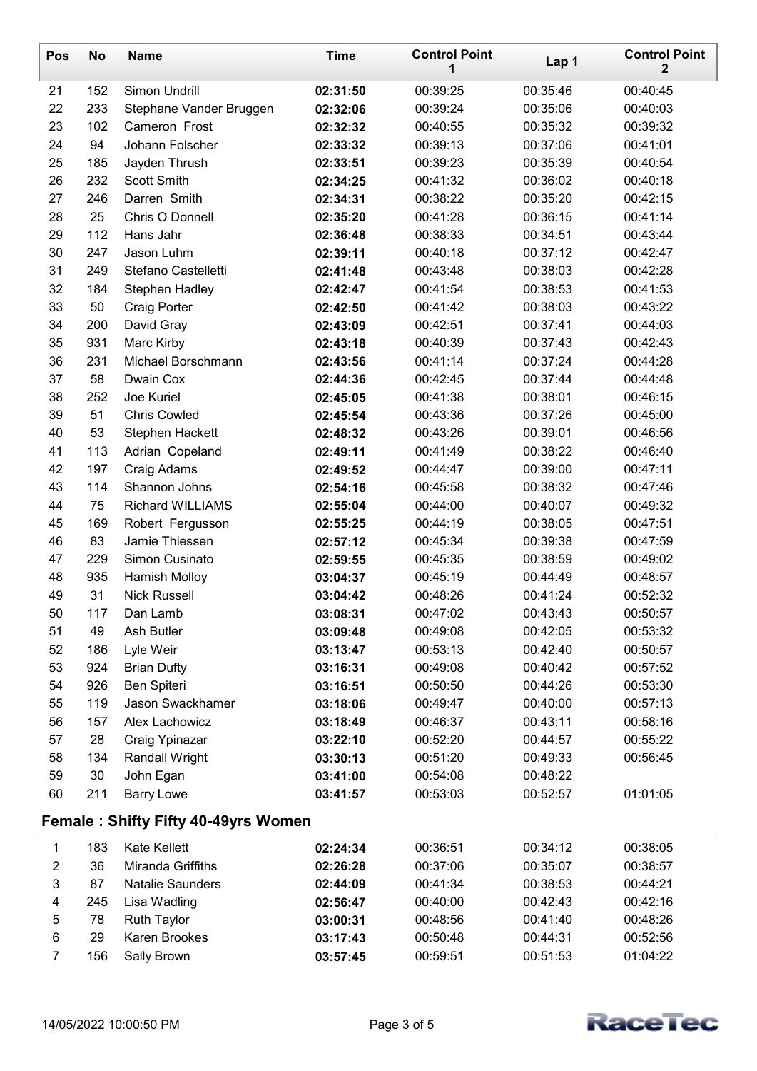| Pos                     | <b>No</b> | <b>Name</b>                                | <b>Time</b>          | <b>Control Point</b><br>1 | Lap 1    | <b>Control Point</b><br>$\mathbf{2}$ |
|-------------------------|-----------|--------------------------------------------|----------------------|---------------------------|----------|--------------------------------------|
| 21                      | 152       | Simon Undrill                              | 02:31:50             | 00:39:25                  | 00:35:46 | 00:40:45                             |
| 22                      | 233       | Stephane Vander Bruggen                    | 02:32:06             | 00:39:24                  | 00:35:06 | 00:40:03                             |
| 23                      | 102       | Cameron Frost                              | 02:32:32             | 00:40:55                  | 00:35:32 | 00:39:32                             |
| 24                      | 94        | Johann Folscher                            | 02:33:32             | 00:39:13                  | 00:37:06 | 00:41:01                             |
| 25                      | 185       | Jayden Thrush                              | 02:33:51             | 00:39:23                  | 00:35:39 | 00:40:54                             |
| 26                      | 232       | <b>Scott Smith</b>                         | 02:34:25             | 00:41:32                  | 00:36:02 | 00:40:18                             |
| 27                      | 246       | Darren Smith                               | 02:34:31             | 00:38:22                  | 00:35:20 | 00:42:15                             |
| 28                      | 25        | Chris O Donnell                            | 02:35:20             | 00:41:28                  | 00:36:15 | 00:41:14                             |
| 29                      | 112       | Hans Jahr                                  | 02:36:48             | 00:38:33                  | 00:34:51 | 00:43:44                             |
| 30                      | 247       | Jason Luhm                                 | 02:39:11             | 00:40:18                  | 00:37:12 | 00:42:47                             |
| 31                      | 249       | Stefano Castelletti                        | 02:41:48             | 00:43:48                  | 00:38:03 | 00:42:28                             |
| 32                      | 184       | <b>Stephen Hadley</b>                      | 02:42:47             | 00:41:54                  | 00:38:53 | 00:41:53                             |
| 33                      | 50        | <b>Craig Porter</b>                        | 02:42:50             | 00:41:42                  | 00:38:03 | 00:43:22                             |
| 34                      | 200       | David Gray                                 | 02:43:09             | 00:42:51                  | 00:37:41 | 00:44:03                             |
| 35                      | 931       | Marc Kirby                                 | 02:43:18             | 00:40:39                  | 00:37:43 | 00:42:43                             |
| 36                      | 231       | Michael Borschmann                         | 02:43:56             | 00:41:14                  | 00:37:24 | 00:44:28                             |
| 37                      | 58        | Dwain Cox                                  | 02:44:36             | 00:42:45                  | 00:37:44 | 00:44:48                             |
| 38                      | 252       | Joe Kuriel                                 | 02:45:05             | 00:41:38                  | 00:38:01 | 00:46:15                             |
| 39                      | 51        | <b>Chris Cowled</b>                        | 02:45:54             | 00:43:36                  | 00:37:26 | 00:45:00                             |
| 40                      | 53        | Stephen Hackett                            | 02:48:32             | 00:43:26                  | 00:39:01 | 00:46:56                             |
| 41                      | 113       | Adrian Copeland                            | 02:49:11             | 00:41:49                  | 00:38:22 | 00:46:40                             |
| 42                      | 197       | Craig Adams                                | 02:49:52             | 00:44:47                  | 00:39:00 | 00:47:11                             |
| 43                      | 114       | Shannon Johns                              | 02:54:16             | 00:45:58                  | 00:38:32 | 00:47:46                             |
| 44                      | 75        | <b>Richard WILLIAMS</b>                    | 02:55:04             | 00:44:00                  | 00:40:07 | 00:49:32                             |
| 45                      | 169       | Robert Fergusson                           | 02:55:25             | 00:44:19                  | 00:38:05 | 00:47:51                             |
| 46                      | 83        | Jamie Thiessen                             | 02:57:12             | 00:45:34                  | 00:39:38 | 00:47:59                             |
| 47                      | 229       | Simon Cusinato                             | 02:59:55             | 00:45:35                  | 00:38:59 | 00:49:02                             |
| 48                      | 935       | <b>Hamish Molloy</b>                       | 03:04:37             | 00:45:19                  | 00:44:49 | 00:48:57                             |
| 49                      | 31        | <b>Nick Russell</b>                        | 03:04:42             | 00:48:26                  | 00:41:24 | 00:52:32                             |
| 50                      | 117       | Dan Lamb                                   | 03:08:31             | 00:47:02                  | 00:43:43 | 00:50:57                             |
| 51                      | 49        | Ash Butler                                 | 03:09:48             | 00:49:08                  | 00:42:05 | 00:53:32                             |
| 52                      | 186       | Lyle Weir                                  | 03:13:47             | 00:53:13                  | 00:42:40 | 00:50:57                             |
| 53                      | 924       | <b>Brian Dufty</b>                         | 03:16:31             | 00:49:08                  | 00:40:42 | 00:57:52                             |
| 54                      | 926       | Ben Spiteri                                | 03:16:51             | 00:50:50                  | 00:44:26 | 00:53:30                             |
| 55                      | 119       | Jason Swackhamer                           | 03:18:06             | 00:49:47                  | 00:40:00 | 00:57:13                             |
| 56                      | 157       | Alex Lachowicz                             | 03:18:49             | 00:46:37                  | 00:43:11 | 00:58:16                             |
| 57                      | 28        | Craig Ypinazar                             | 03:22:10             | 00:52:20                  | 00:44:57 | 00:55:22                             |
| 58                      | 134       | <b>Randall Wright</b>                      | 03:30:13             | 00:51:20                  | 00:49:33 | 00:56:45                             |
| 59                      | 30        | John Egan                                  | 03:41:00             | 00:54:08                  | 00:48:22 |                                      |
| 60                      | 211       | <b>Barry Lowe</b>                          | 03:41:57             | 00:53:03                  | 00:52:57 | 01:01:05                             |
|                         |           | <b>Female: Shifty Fifty 40-49yrs Women</b> |                      |                           |          |                                      |
| 1                       | 183       | <b>Kate Kellett</b>                        | 02:24:34             | 00:36:51                  | 00:34:12 | 00:38:05                             |
| $\overline{\mathbf{c}}$ | 36        | Miranda Griffiths                          | 02:26:28             | 00:37:06                  | 00:35:07 | 00:38:57                             |
| 3                       | 87        | <b>Natalie Saunders</b>                    |                      | 00:41:34                  | 00:38:53 | 00:44:21                             |
| 4                       | 245       |                                            | 02:44:09             | 00:40:00                  | 00:42:43 |                                      |
| 5                       | 78        | Lisa Wadling<br><b>Ruth Taylor</b>         | 02:56:47<br>03:00:31 | 00:48:56                  | 00:41:40 | 00:42:16<br>00:48:26                 |
| 6                       | 29        | Karen Brookes                              | 03:17:43             | 00:50:48                  | 00:44:31 | 00:52:56                             |
| $\overline{7}$          |           |                                            |                      |                           |          |                                      |
|                         | 156       | Sally Brown                                | 03:57:45             | 00:59:51                  | 00:51:53 | 01:04:22                             |

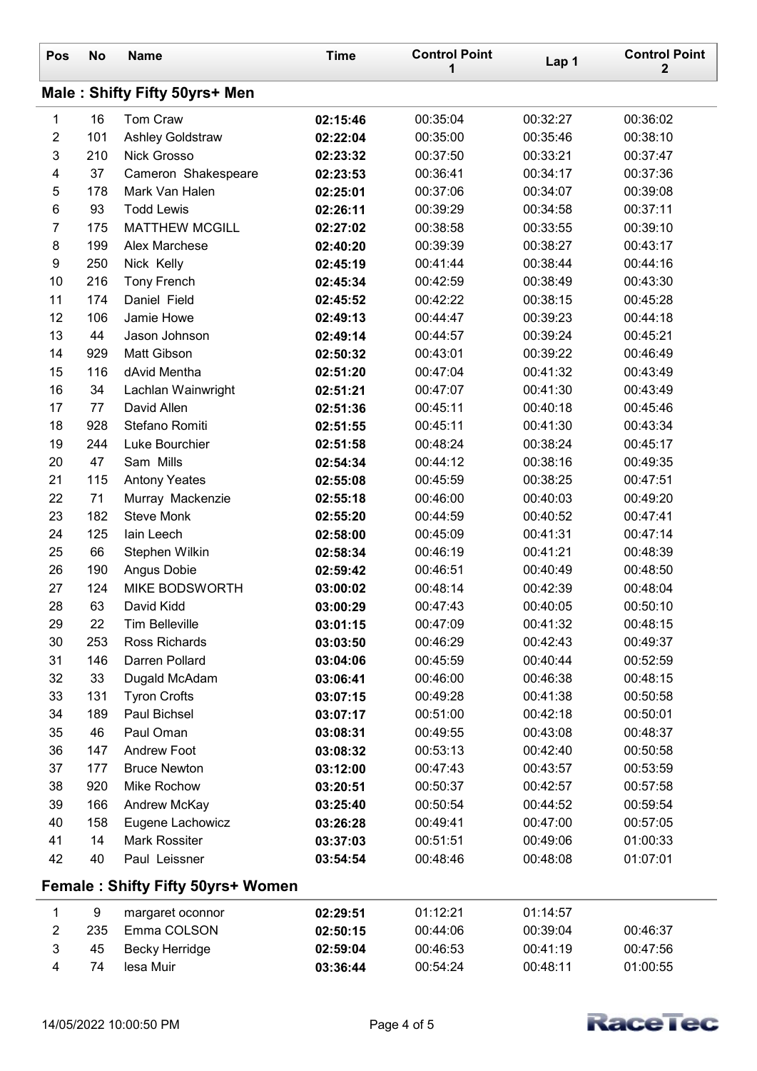| Pos              | <b>No</b>                     | <b>Name</b>                       | <b>Time</b> | <b>Control Point</b><br>1 | Lap 1    | <b>Control Point</b><br>$\mathbf 2$ |  |  |  |
|------------------|-------------------------------|-----------------------------------|-------------|---------------------------|----------|-------------------------------------|--|--|--|
|                  | Male: Shifty Fifty 50yrs+ Men |                                   |             |                           |          |                                     |  |  |  |
| 1                | 16                            | Tom Craw                          | 02:15:46    | 00:35:04                  | 00:32:27 | 00:36:02                            |  |  |  |
| $\overline{2}$   | 101                           | Ashley Goldstraw                  | 02:22:04    | 00:35:00                  | 00:35:46 | 00:38:10                            |  |  |  |
| 3                | 210                           | Nick Grosso                       | 02:23:32    | 00:37:50                  | 00:33:21 | 00:37:47                            |  |  |  |
| 4                | 37                            | Cameron Shakespeare               | 02:23:53    | 00:36:41                  | 00:34:17 | 00:37:36                            |  |  |  |
| 5                | 178                           | Mark Van Halen                    | 02:25:01    | 00:37:06                  | 00:34:07 | 00:39:08                            |  |  |  |
| 6                | 93                            | <b>Todd Lewis</b>                 | 02:26:11    | 00:39:29                  | 00:34:58 | 00:37:11                            |  |  |  |
| $\overline{7}$   | 175                           | <b>MATTHEW MCGILL</b>             | 02:27:02    | 00:38:58                  | 00:33:55 | 00:39:10                            |  |  |  |
| 8                | 199                           | Alex Marchese                     | 02:40:20    | 00:39:39                  | 00:38:27 | 00:43:17                            |  |  |  |
| $\boldsymbol{9}$ | 250                           | Nick Kelly                        | 02:45:19    | 00:41:44                  | 00:38:44 | 00:44:16                            |  |  |  |
| 10               | 216                           | <b>Tony French</b>                | 02:45:34    | 00:42:59                  | 00:38:49 | 00:43:30                            |  |  |  |
| 11               | 174                           | Daniel Field                      | 02:45:52    | 00:42:22                  | 00:38:15 | 00:45:28                            |  |  |  |
| 12               | 106                           | Jamie Howe                        | 02:49:13    | 00:44:47                  | 00:39:23 | 00:44:18                            |  |  |  |
| 13               | 44                            | Jason Johnson                     | 02:49:14    | 00:44:57                  | 00:39:24 | 00:45:21                            |  |  |  |
| 14               | 929                           | <b>Matt Gibson</b>                | 02:50:32    | 00:43:01                  | 00:39:22 | 00:46:49                            |  |  |  |
| 15               | 116                           | dAvid Mentha                      | 02:51:20    | 00:47:04                  | 00:41:32 | 00:43:49                            |  |  |  |
| 16               | 34                            | Lachlan Wainwright                | 02:51:21    | 00:47:07                  | 00:41:30 | 00:43:49                            |  |  |  |
| 17               | 77                            | David Allen                       | 02:51:36    | 00:45:11                  | 00:40:18 | 00:45:46                            |  |  |  |
| 18               | 928                           | Stefano Romiti                    | 02:51:55    | 00:45:11                  | 00:41:30 | 00:43:34                            |  |  |  |
| 19               | 244                           | Luke Bourchier                    | 02:51:58    | 00:48:24                  | 00:38:24 | 00:45:17                            |  |  |  |
| 20               | 47                            | Sam Mills                         | 02:54:34    | 00:44:12                  | 00:38:16 | 00:49:35                            |  |  |  |
| 21               | 115                           | <b>Antony Yeates</b>              | 02:55:08    | 00:45:59                  | 00:38:25 | 00:47:51                            |  |  |  |
| 22               | 71                            | Murray Mackenzie                  | 02:55:18    | 00:46:00                  | 00:40:03 | 00:49:20                            |  |  |  |
| 23               | 182                           | <b>Steve Monk</b>                 | 02:55:20    | 00:44:59                  | 00:40:52 | 00:47:41                            |  |  |  |
| 24               | 125                           | lain Leech                        | 02:58:00    | 00:45:09                  | 00:41:31 | 00:47:14                            |  |  |  |
| 25               | 66                            | Stephen Wilkin                    | 02:58:34    | 00:46:19                  | 00:41:21 | 00:48:39                            |  |  |  |
| 26               | 190                           | Angus Dobie                       | 02:59:42    | 00:46:51                  | 00:40:49 | 00:48:50                            |  |  |  |
| 27               | 124                           | <b>MIKE BODSWORTH</b>             | 03:00:02    | 00:48:14                  | 00:42:39 | 00:48:04                            |  |  |  |
| 28               | 63                            | David Kidd                        | 03:00:29    | 00:47:43                  | 00:40:05 | 00:50:10                            |  |  |  |
| 29               | 22                            | <b>Tim Belleville</b>             | 03:01:15    | 00:47:09                  | 00:41:32 | 00:48:15                            |  |  |  |
| 30               | 253                           | Ross Richards                     | 03:03:50    | 00:46:29                  | 00:42:43 | 00:49:37                            |  |  |  |
| 31               | 146                           | Darren Pollard                    | 03:04:06    | 00:45:59                  | 00:40:44 | 00:52:59                            |  |  |  |
| 32               | 33                            | Dugald McAdam                     | 03:06:41    | 00:46:00                  | 00:46:38 | 00:48:15                            |  |  |  |
| 33               | 131                           | <b>Tyron Crofts</b>               | 03:07:15    | 00:49:28                  | 00:41:38 | 00:50:58                            |  |  |  |
| 34               | 189                           | Paul Bichsel                      | 03:07:17    | 00:51:00                  | 00:42:18 | 00:50:01                            |  |  |  |
| 35               | 46                            | Paul Oman                         | 03:08:31    | 00:49:55                  | 00:43:08 | 00:48:37                            |  |  |  |
| 36               | 147                           | <b>Andrew Foot</b>                | 03:08:32    | 00:53:13                  | 00:42:40 | 00:50:58                            |  |  |  |
| 37               | 177                           | <b>Bruce Newton</b>               | 03:12:00    | 00:47:43                  | 00:43:57 | 00:53:59                            |  |  |  |
| 38               | 920                           | Mike Rochow                       | 03:20:51    | 00:50:37                  | 00:42:57 | 00:57:58                            |  |  |  |
| 39               | 166                           | Andrew McKay                      | 03:25:40    | 00:50:54                  | 00:44:52 | 00:59:54                            |  |  |  |
| 40               | 158                           | Eugene Lachowicz                  | 03:26:28    | 00:49:41                  | 00:47:00 | 00:57:05                            |  |  |  |
| 41               | 14                            | <b>Mark Rossiter</b>              | 03:37:03    | 00:51:51                  | 00:49:06 | 01:00:33                            |  |  |  |
| 42               | 40                            | Paul Leissner                     | 03:54:54    | 00:48:46                  | 00:48:08 | 01:07:01                            |  |  |  |
|                  |                               | Female: Shifty Fifty 50yrs+ Women |             |                           |          |                                     |  |  |  |
| 1                | 9                             | margaret oconnor                  | 02:29:51    | 01:12:21                  | 01:14:57 |                                     |  |  |  |
| $\mathbf{2}$     | 235                           | Emma COLSON                       | 02:50:15    | 00:44:06                  | 00:39:04 | 00:46:37                            |  |  |  |
| 3                | 45                            | <b>Becky Herridge</b>             | 02:59:04    | 00:46:53                  | 00:41:19 | 00:47:56                            |  |  |  |
| 4                | 74                            | lesa Muir                         | 03:36:44    | 00:54:24                  | 00:48:11 | 01:00:55                            |  |  |  |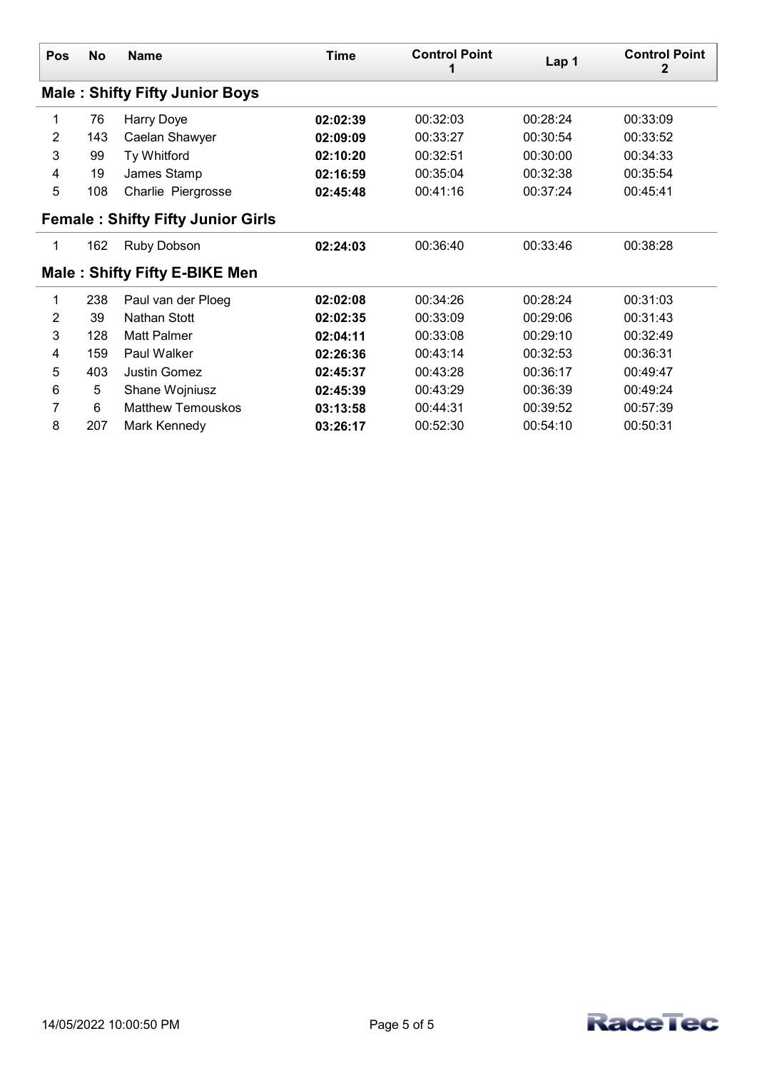| <b>Pos</b> | No  | <b>Name</b>                              | Time     | <b>Control Point</b> | Lap 1    | <b>Control Point</b><br>2 |
|------------|-----|------------------------------------------|----------|----------------------|----------|---------------------------|
|            |     | <b>Male: Shifty Fifty Junior Boys</b>    |          |                      |          |                           |
| 1          | 76  | Harry Doye                               | 02:02:39 | 00:32:03             | 00:28:24 | 00:33:09                  |
| 2          | 143 | Caelan Shawyer                           | 02:09:09 | 00:33:27             | 00:30:54 | 00:33:52                  |
| 3          | 99  | Ty Whitford                              | 02:10:20 | 00:32:51             | 00:30:00 | 00:34:33                  |
| 4          | 19  | James Stamp                              | 02:16:59 | 00:35:04             | 00:32:38 | 00:35:54                  |
| 5          | 108 | Charlie Piergrosse                       | 02:45:48 | 00:41:16             | 00:37:24 | 00:45:41                  |
|            |     | <b>Female: Shifty Fifty Junior Girls</b> |          |                      |          |                           |
| 1          | 162 | Ruby Dobson                              | 02:24:03 | 00:36:40             | 00:33:46 | 00:38:28                  |
|            |     | <b>Male: Shifty Fifty E-BIKE Men</b>     |          |                      |          |                           |
| 1          | 238 | Paul van der Ploeg                       | 02:02:08 | 00:34:26             | 00:28:24 | 00:31:03                  |
| 2          | 39  | Nathan Stott                             | 02:02:35 | 00:33:09             | 00:29:06 | 00:31:43                  |
| 3          | 128 | Matt Palmer                              | 02:04:11 | 00:33:08             | 00:29:10 | 00:32:49                  |
| 4          | 159 | Paul Walker                              | 02:26:36 | 00:43:14             | 00:32:53 | 00:36:31                  |
| 5          | 403 | <b>Justin Gomez</b>                      | 02:45:37 | 00:43:28             | 00:36:17 | 00:49:47                  |
| 6          | 5   | Shane Wojniusz                           | 02:45:39 | 00:43:29             | 00:36:39 | 00:49:24                  |
| 7          | 6   | <b>Matthew Temouskos</b>                 | 03:13:58 | 00:44:31             | 00:39:52 | 00:57:39                  |
| 8          | 207 | Mark Kennedy                             | 03:26:17 | 00:52:30             | 00:54:10 | 00:50:31                  |

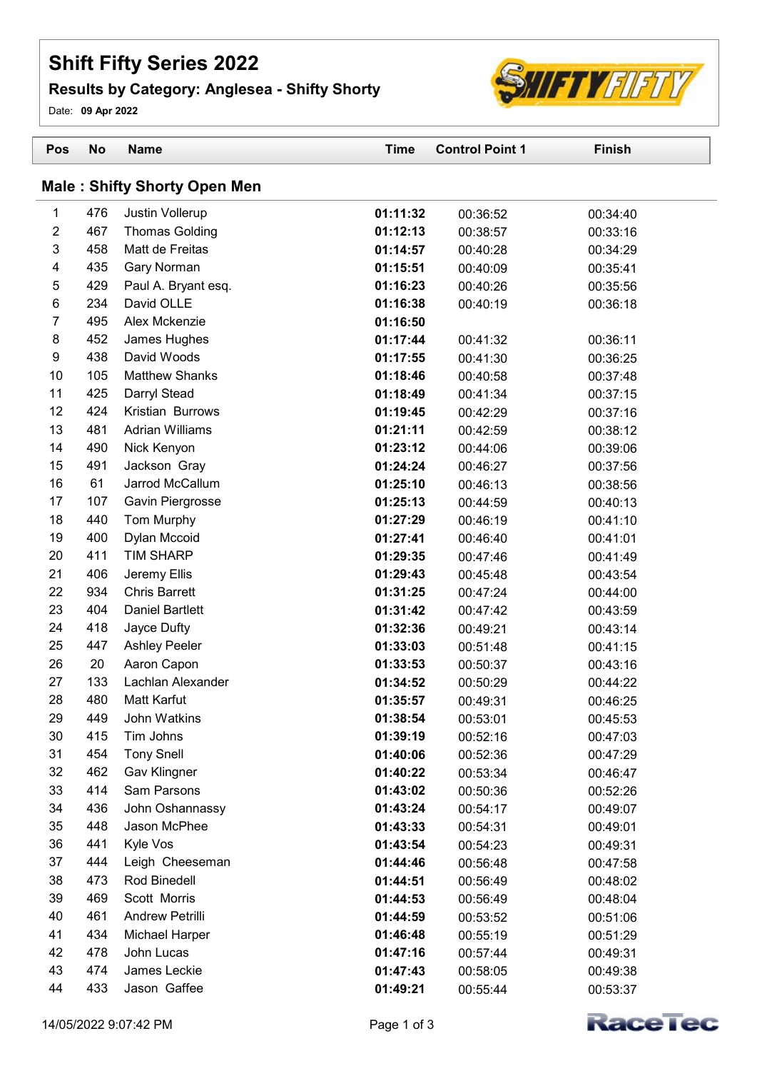## Shift Fifty Series 2022

## Results by Category: Anglesea - Shifty Shorty

Date: 09 Apr 2022

| Pos                                 | <b>No</b>  | <b>Name</b>                          | <b>Time</b>          | <b>Control Point 1</b> | <b>Finish</b>        |  |  |
|-------------------------------------|------------|--------------------------------------|----------------------|------------------------|----------------------|--|--|
| <b>Male: Shifty Shorty Open Men</b> |            |                                      |                      |                        |                      |  |  |
| 1                                   | 476        | Justin Vollerup                      | 01:11:32             | 00:36:52               | 00:34:40             |  |  |
| 2                                   | 467        | <b>Thomas Golding</b>                | 01:12:13             | 00:38:57               | 00:33:16             |  |  |
| 3                                   | 458        | Matt de Freitas                      | 01:14:57             | 00:40:28               | 00:34:29             |  |  |
| 4                                   | 435        | Gary Norman                          | 01:15:51             | 00:40:09               | 00:35:41             |  |  |
| 5                                   | 429        | Paul A. Bryant esq.                  | 01:16:23             | 00:40:26               | 00:35:56             |  |  |
| 6                                   | 234        | David OLLE                           | 01:16:38             | 00:40:19               | 00:36:18             |  |  |
| $\overline{7}$                      | 495        | Alex Mckenzie                        | 01:16:50             |                        |                      |  |  |
| 8                                   | 452        | James Hughes                         | 01:17:44             | 00:41:32               | 00:36:11             |  |  |
| 9                                   | 438        | David Woods                          | 01:17:55             | 00:41:30               | 00:36:25             |  |  |
| 10                                  | 105        | <b>Matthew Shanks</b>                | 01:18:46             | 00:40:58               | 00:37:48             |  |  |
| 11                                  | 425        | Darryl Stead                         | 01:18:49             | 00:41:34               | 00:37:15             |  |  |
| 12                                  | 424        | Kristian Burrows                     | 01:19:45             | 00:42:29               | 00:37:16             |  |  |
| 13                                  | 481        | <b>Adrian Williams</b>               | 01:21:11             | 00:42:59               | 00:38:12             |  |  |
| 14                                  | 490        | Nick Kenyon                          | 01:23:12             | 00:44:06               | 00:39:06             |  |  |
| 15                                  | 491        | Jackson Gray                         | 01:24:24             | 00:46:27               | 00:37:56             |  |  |
| 16                                  | 61         | Jarrod McCallum                      | 01:25:10             | 00:46:13               | 00:38:56             |  |  |
| 17                                  | 107        | Gavin Piergrosse                     | 01:25:13             | 00:44:59               | 00:40:13             |  |  |
| 18                                  | 440        | Tom Murphy                           | 01:27:29             | 00:46:19               | 00:41:10             |  |  |
| 19<br>20                            | 400<br>411 | Dylan Mccoid<br><b>TIM SHARP</b>     | 01:27:41             | 00:46:40               | 00:41:01             |  |  |
| 21                                  | 406        |                                      | 01:29:35             | 00:47:46               | 00:41:49             |  |  |
| 22                                  | 934        | Jeremy Ellis<br><b>Chris Barrett</b> | 01:29:43<br>01:31:25 | 00:45:48<br>00:47:24   | 00:43:54             |  |  |
| 23                                  | 404        | <b>Daniel Bartlett</b>               | 01:31:42             | 00:47:42               | 00:44:00<br>00:43:59 |  |  |
| 24                                  | 418        | Jayce Dufty                          | 01:32:36             | 00:49:21               | 00:43:14             |  |  |
| 25                                  | 447        | <b>Ashley Peeler</b>                 | 01:33:03             | 00:51:48               | 00:41:15             |  |  |
| 26                                  | 20         | Aaron Capon                          | 01:33:53             | 00:50:37               | 00:43:16             |  |  |
| 27                                  | 133        | Lachlan Alexander                    | 01:34:52             | 00:50:29               | 00:44:22             |  |  |
| 28                                  | 480        | Matt Karfut                          | 01:35:57             | 00:49:31               | 00:46:25             |  |  |
| 29                                  | 449        | John Watkins                         | 01:38:54             | 00:53:01               | 00:45:53             |  |  |
| 30                                  | 415        | Tim Johns                            | 01:39:19             | 00:52:16               | 00:47:03             |  |  |
| 31                                  | 454        | <b>Tony Snell</b>                    | 01:40:06             | 00:52:36               | 00:47:29             |  |  |
| 32                                  | 462        | Gav Klingner                         | 01:40:22             | 00:53:34               | 00:46:47             |  |  |
| 33                                  | 414        | Sam Parsons                          | 01:43:02             | 00:50:36               | 00:52:26             |  |  |
| 34                                  | 436        | John Oshannassy                      | 01:43:24             | 00:54:17               | 00:49:07             |  |  |
| 35                                  | 448        | Jason McPhee                         | 01:43:33             | 00:54:31               | 00:49:01             |  |  |
| 36                                  | 441        | Kyle Vos                             | 01:43:54             | 00:54:23               | 00:49:31             |  |  |
| 37                                  | 444        | Leigh Cheeseman                      | 01:44:46             | 00:56:48               | 00:47:58             |  |  |
| 38                                  | 473        | Rod Binedell                         | 01:44:51             | 00:56:49               | 00:48:02             |  |  |
| 39                                  | 469        | Scott Morris                         | 01:44:53             | 00:56:49               | 00:48:04             |  |  |
| 40                                  | 461        | Andrew Petrilli                      | 01:44:59             | 00:53:52               | 00:51:06             |  |  |
| 41                                  | 434        | Michael Harper                       | 01:46:48             | 00:55:19               | 00:51:29             |  |  |
| 42                                  | 478        | John Lucas                           | 01:47:16             | 00:57:44               | 00:49:31             |  |  |
| 43                                  | 474        | James Leckie                         | 01:47:43             | 00:58:05               | 00:49:38             |  |  |
| 44                                  | 433        | Jason Gaffee                         | 01:49:21             | 00:55:44               | 00:53:37             |  |  |



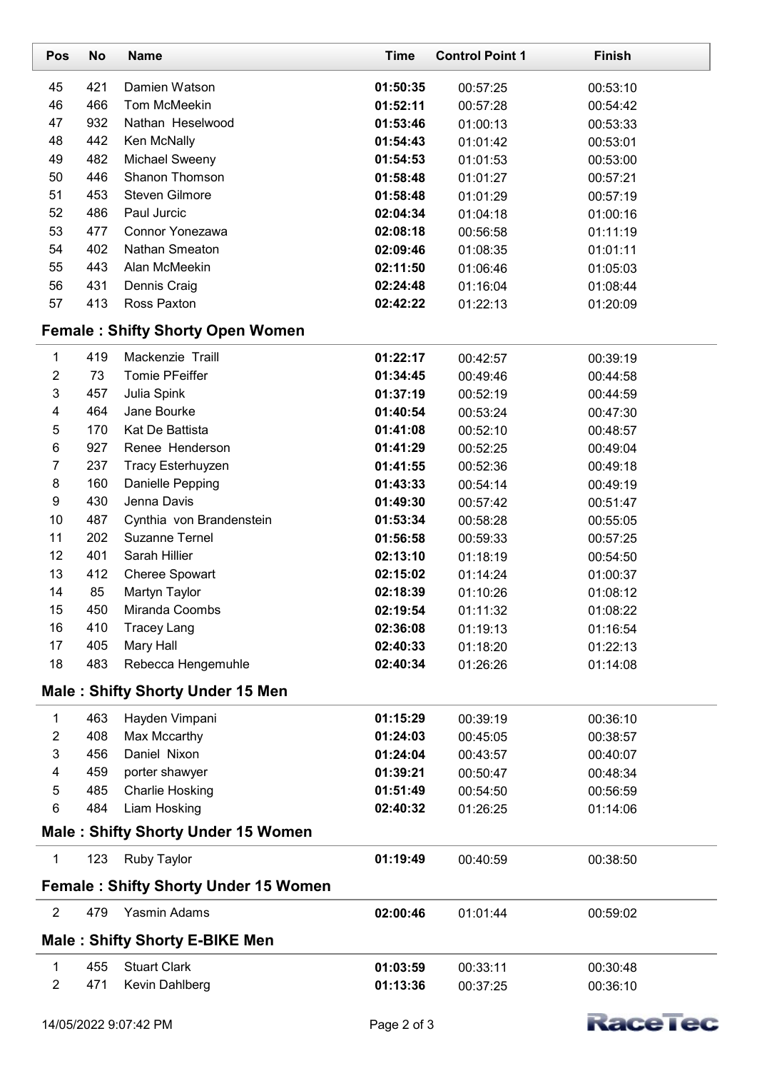| Pos              | <b>No</b> | <b>Name</b>                                 | <b>Time</b> | <b>Control Point 1</b> | <b>Finish</b> |
|------------------|-----------|---------------------------------------------|-------------|------------------------|---------------|
| 45               | 421       | Damien Watson                               | 01:50:35    | 00:57:25               | 00:53:10      |
| 46               | 466       | Tom McMeekin                                | 01:52:11    | 00:57:28               | 00:54:42      |
| 47               | 932       | Nathan Heselwood                            | 01:53:46    | 01:00:13               | 00:53:33      |
| 48               | 442       | Ken McNally                                 | 01:54:43    | 01:01:42               | 00:53:01      |
| 49               | 482       | Michael Sweeny                              | 01:54:53    | 01:01:53               | 00:53:00      |
| 50               | 446       | Shanon Thomson                              | 01:58:48    | 01:01:27               | 00:57:21      |
| 51               | 453       | <b>Steven Gilmore</b>                       | 01:58:48    | 01:01:29               | 00:57:19      |
| 52               | 486       | Paul Jurcic                                 | 02:04:34    | 01:04:18               | 01:00:16      |
| 53               | 477       | Connor Yonezawa                             | 02:08:18    | 00:56:58               | 01:11:19      |
| 54               | 402       | Nathan Smeaton                              | 02:09:46    | 01:08:35               | 01:01:11      |
| 55               | 443       | Alan McMeekin                               | 02:11:50    | 01:06:46               | 01:05:03      |
| 56               | 431       | Dennis Craig                                | 02:24:48    | 01:16:04               | 01:08:44      |
| 57               | 413       | Ross Paxton                                 | 02:42:22    | 01:22:13               | 01:20:09      |
|                  |           | <b>Female: Shifty Shorty Open Women</b>     |             |                        |               |
| $\mathbf 1$      | 419       | Mackenzie Traill                            | 01:22:17    | 00:42:57               | 00:39:19      |
| $\overline{2}$   | 73        | <b>Tomie PFeiffer</b>                       | 01:34:45    | 00:49:46               | 00:44:58      |
| $\sqrt{3}$       | 457       | Julia Spink                                 | 01:37:19    | 00:52:19               | 00:44:59      |
| 4                | 464       | Jane Bourke                                 | 01:40:54    | 00:53:24               | 00:47:30      |
| 5                | 170       | Kat De Battista                             | 01:41:08    | 00:52:10               | 00:48:57      |
| 6                | 927       | Renee Henderson                             | 01:41:29    | 00:52:25               | 00:49:04      |
| $\overline{7}$   | 237       | Tracy Esterhuyzen                           | 01:41:55    | 00:52:36               | 00:49:18      |
| $\bf 8$          | 160       | Danielle Pepping                            | 01:43:33    | 00:54:14               | 00:49:19      |
| $\boldsymbol{9}$ | 430       | Jenna Davis                                 | 01:49:30    | 00:57:42               | 00:51:47      |
| 10               | 487       | Cynthia von Brandenstein                    | 01:53:34    | 00:58:28               | 00:55:05      |
| 11               | 202       | <b>Suzanne Ternel</b>                       | 01:56:58    | 00:59:33               | 00:57:25      |
| 12               | 401       | Sarah Hillier                               | 02:13:10    | 01:18:19               | 00:54:50      |
| 13               | 412       | Cheree Spowart                              | 02:15:02    | 01:14:24               | 01:00:37      |
| 14               | 85        | Martyn Taylor                               | 02:18:39    | 01:10:26               | 01:08:12      |
| 15               | 450       | Miranda Coombs                              | 02:19:54    | 01:11:32               | 01:08:22      |
| 16               | 410       | <b>Tracey Lang</b>                          | 02:36:08    | 01:19:13               | 01:16:54      |
| 17               | 405       | Mary Hall                                   | 02:40:33    | 01:18:20               | 01:22:13      |
| 18               | 483       | Rebecca Hengemuhle                          | 02:40:34    | 01:26:26               | 01:14:08      |
|                  |           | <b>Male: Shifty Shorty Under 15 Men</b>     |             |                        |               |
| 1                | 463       | Hayden Vimpani                              | 01:15:29    | 00:39:19               | 00:36:10      |
| $\overline{c}$   | 408       | Max Mccarthy                                | 01:24:03    | 00:45:05               | 00:38:57      |
| 3                | 456       | Daniel Nixon                                | 01:24:04    | 00:43:57               | 00:40:07      |
| 4                | 459       | porter shawyer                              | 01:39:21    | 00:50:47               | 00:48:34      |
| $\mathbf 5$      | 485       | <b>Charlie Hosking</b>                      | 01:51:49    | 00:54:50               | 00:56:59      |
| 6                | 484       | Liam Hosking                                | 02:40:32    | 01:26:25               | 01:14:06      |
|                  |           | <b>Male: Shifty Shorty Under 15 Women</b>   |             |                        |               |
| $\mathbf{1}$     | 123       | <b>Ruby Taylor</b>                          | 01:19:49    | 00:40:59               | 00:38:50      |
|                  |           | <b>Female: Shifty Shorty Under 15 Women</b> |             |                        |               |
| $\overline{2}$   | 479       | Yasmin Adams                                | 02:00:46    | 01:01:44               | 00:59:02      |
|                  |           | <b>Male: Shifty Shorty E-BIKE Men</b>       |             |                        |               |
| 1                | 455       | <b>Stuart Clark</b>                         | 01:03:59    | 00:33:11               | 00:30:48      |
| $\overline{2}$   | 471       | Kevin Dahlberg                              | 01:13:36    | 00:37:25               | 00:36:10      |
|                  |           |                                             |             |                        |               |